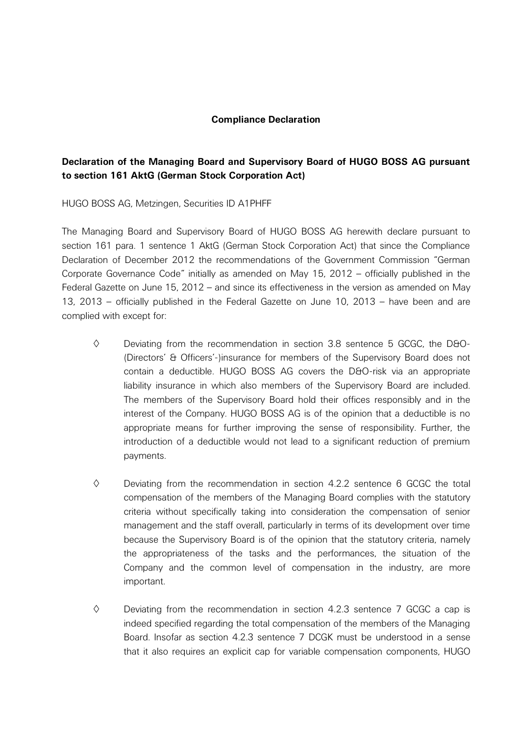## **Compliance Declaration**

## **Declaration of the Managing Board and Supervisory Board of HUGO BOSS AG pursuant to section 161 AktG (German Stock Corporation Act)**

HUGO BOSS AG, Metzingen, Securities ID A1PHFF

The Managing Board and Supervisory Board of HUGO BOSS AG herewith declare pursuant to section 161 para. 1 sentence 1 AktG (German Stock Corporation Act) that since the Compliance Declaration of December 2012 the recommendations of the Government Commission "German Corporate Governance Code" initially as amended on May 15, 2012 – officially published in the Federal Gazette on June 15, 2012 – and since its effectiveness in the version as amended on May 13, 2013 – officially published in the Federal Gazette on June 10, 2013 – have been and are complied with except for:

- $\diamond$  Deviating from the recommendation in section 3.8 sentence 5 GCGC, the D&O-(Directors' & Officers'-)insurance for members of the Supervisory Board does not contain a deductible. HUGO BOSS AG covers the D&O-risk via an appropriate liability insurance in which also members of the Supervisory Board are included. The members of the Supervisory Board hold their offices responsibly and in the interest of the Company. HUGO BOSS AG is of the opinion that a deductible is no appropriate means for further improving the sense of responsibility. Further, the introduction of a deductible would not lead to a significant reduction of premium payments.
- $\diamond$  Deviating from the recommendation in section 4.2.2 sentence 6 GCGC the total compensation of the members of the Managing Board complies with the statutory criteria without specifically taking into consideration the compensation of senior management and the staff overall, particularly in terms of its development over time because the Supervisory Board is of the opinion that the statutory criteria, namely the appropriateness of the tasks and the performances, the situation of the Company and the common level of compensation in the industry, are more important.
- $\diamond$  Deviating from the recommendation in section 4.2.3 sentence 7 GCGC a cap is indeed specified regarding the total compensation of the members of the Managing Board. Insofar as section 4.2.3 sentence 7 DCGK must be understood in a sense that it also requires an explicit cap for variable compensation components, HUGO